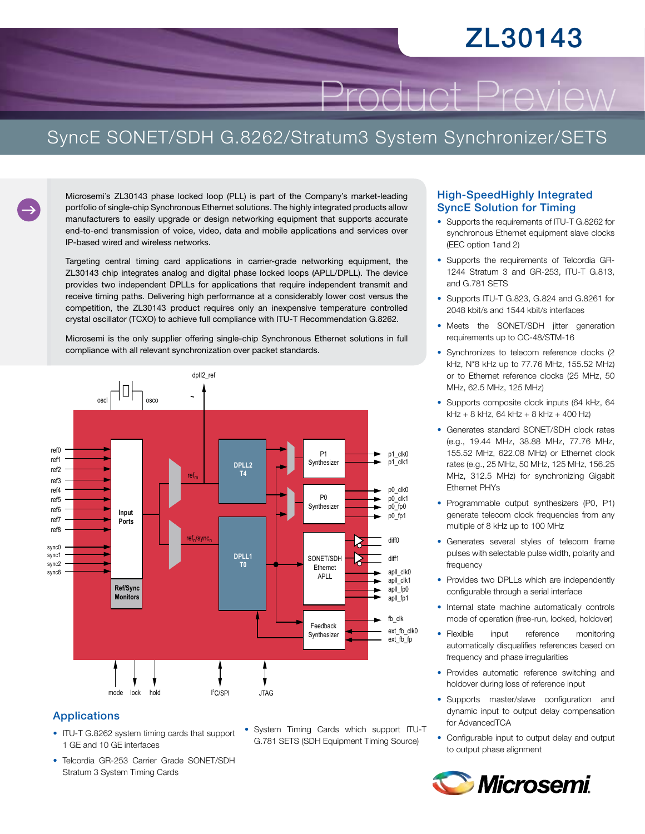# ZL30143

Product Preview

### SyncE SONET/SDH G.8262/Stratum3 System Synchronizer/SETS

Microsemi's ZL30143 phase locked loop (PLL) is part of the Company's market-leading portfolio of single-chip Synchronous Ethernet solutions. The highly integrated products allow manufacturers to easily upgrade or design networking equipment that supports accurate end-to-end transmission of voice, video, data and mobile applications and services over IP-based wired and wireless networks.

Targeting central timing card applications in carrier-grade networking equipment, the ZL30143 chip integrates analog and digital phase locked loops (APLL/DPLL). The device provides two independent DPLLs for applications that require independent transmit and receive timing paths. Delivering high performance at a considerably lower cost versus the competition, the ZL30143 product requires only an inexpensive temperature controlled crystal oscillator (TCXO) to achieve full compliance with ITU-T Recommendation G.8262.

Microsemi is the only supplier offering single-chip Synchronous Ethernet solutions in full compliance with all relevant synchronization over packet standards.



#### Applications

- ITU-T G.8262 system timing cards that support 1 GE and 10 GE interfaces
- Telcordia GR-253 Carrier Grade SONET/SDH Stratum 3 System Timing Cards
- System Timing Cards which support ITU-T G.781 SETS (SDH Equipment Timing Source)

#### High-SpeedHighly Integrated SyncE Solution for Timing

- Supports the requirements of ITU-T G.8262 for synchronous Ethernet equipment slave clocks (EEC option 1and 2)
- • Supports the requirements of Telcordia GR-1244 Stratum 3 and GR-253, ITU-T G.813, and G.781 SETS
- Supports ITU-T G.823, G.824 and G.8261 for 2048 kbit/s and 1544 kbit/s interfaces
- Meets the SONET/SDH jitter generation requirements up to OC-48/STM-16
- Synchronizes to telecom reference clocks (2 kHz, N\*8 kHz up to 77.76 MHz, 155.52 MHz) or to Ethernet reference clocks (25 MHz, 50 MHz, 62.5 MHz, 125 MHz)
- Supports composite clock inputs (64 kHz, 64 kHz + 8 kHz, 64 kHz + 8 kHz + 400 Hz)
- Generates standard SONET/SDH clock rates (e.g., 19.44 MHz, 38.88 MHz, 77.76 MHz, 155.52 MHz, 622.08 MHz) or Ethernet clock rates (e.g., 25 MHz, 50 MHz, 125 MHz, 156.25 MHz, 312.5 MHz) for synchronizing Gigabit Ethernet PHYs
- Programmable output synthesizers (P0, P1) generate telecom clock frequencies from any multiple of 8 kHz up to 100 MHz
- • Generates several styles of telecom frame pulses with selectable pulse width, polarity and frequency
- Provides two DPLLs which are independently configurable through a serial interface
- Internal state machine automatically controls mode of operation (free-run, locked, holdover)
- Flexible input reference monitoring automatically disqualifies references based on frequency and phase irregularities
- Provides automatic reference switching and holdover during loss of reference input
- Supports master/slave configuration and dynamic input to output delay compensation for AdvancedTCA
- Configurable input to output delay and output to output phase alignment